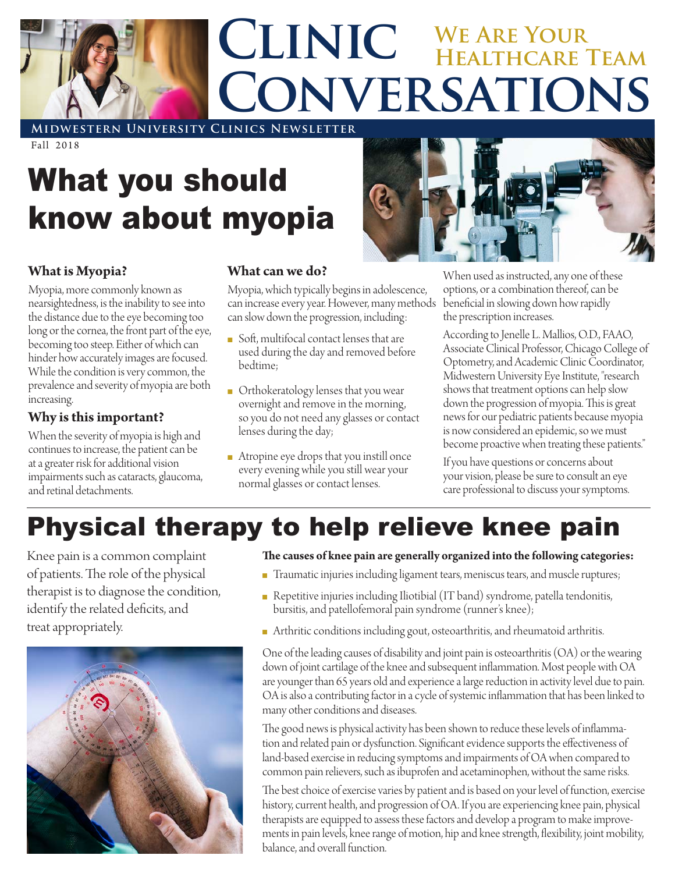

**Midwestern University Clinics Newsletter**

Fall 2018

# What you should know about myopia

#### **What is Myopia?**

Myopia, more commonly known as nearsightedness, is the inability to see into the distance due to the eye becoming too long or the cornea, the front part of the eye, becoming too steep. Either of which can hinder how accurately images are focused. While the condition is very common, the prevalence and severity of myopia are both increasing.

#### **Why is this important?**

When the severity of myopia is high and continues to increase, the patient can be at a greater risk for additional vision impairments such as cataracts, glaucoma, and retinal detachments.

#### **What can we do?**

Myopia, which typically begins in adolescence, can increase every year. However, many methods can slow down the progression, including:

- Soft, multifocal contact lenses that are used during the day and removed before bedtime;
- **n** Orthokeratology lenses that you wear overnight and remove in the morning, so you do not need any glasses or contact lenses during the day;
- Atropine eye drops that you instill once every evening while you still wear your normal glasses or contact lenses.



When used as instructed, any one of these options, or a combination thereof, can be beneficial in slowing down how rapidly the prescription increases.

According to Jenelle L. Mallios, O.D., FAAO, Associate Clinical Professor, Chicago College of Optometry, and Academic Clinic Coordinator, Midwestern University Eye Institute, "research shows that treatment options can help slow down the progression of myopia. This is great news for our pediatric patients because myopia is now considered an epidemic, so we must become proactive when treating these patients."

If you have questions or concerns about your vision, please be sure to consult an eye care professional to discuss your symptoms.

## Physical therapy to help relieve knee pain

Knee pain is a common complaint of patients. The role of the physical therapist is to diagnose the condition, identify the related deficits, and treat appropriately.



#### **The causes of knee pain are generally organized into the following categories:**

- Traumatic injuries including ligament tears, meniscus tears, and muscle ruptures;
- <sup>n</sup> Repetitive injuries including Iliotibial (IT band) syndrome, patella tendonitis, bursitis, and patellofemoral pain syndrome (runner's knee);
- n Arthritic conditions including gout, osteoarthritis, and rheumatoid arthritis.

One of the leading causes of disability and joint pain is osteoarthritis (OA) or the wearing down of joint cartilage of the knee and subsequent inflammation. Most people with OA are younger than 65 years old and experience a large reduction in activity level due to pain. OA is also a contributing factor in a cycle of systemic inflammation that has been linked to many other conditions and diseases.

The good news is physical activity has been shown to reduce these levels of inflammation and related pain or dysfunction. Significant evidence supports the effectiveness of land-based exercise in reducing symptoms and impairments of OA when compared to common pain relievers, such as ibuprofen and acetaminophen, without the same risks.

The best choice of exercise varies by patient and is based on your level of function, exercise history, current health, and progression of OA. If you are experiencing knee pain, physical therapists are equipped to assess these factors and develop a program to make improvements in pain levels, knee range of motion, hip and knee strength, flexibility, joint mobility, balance, and overall function.